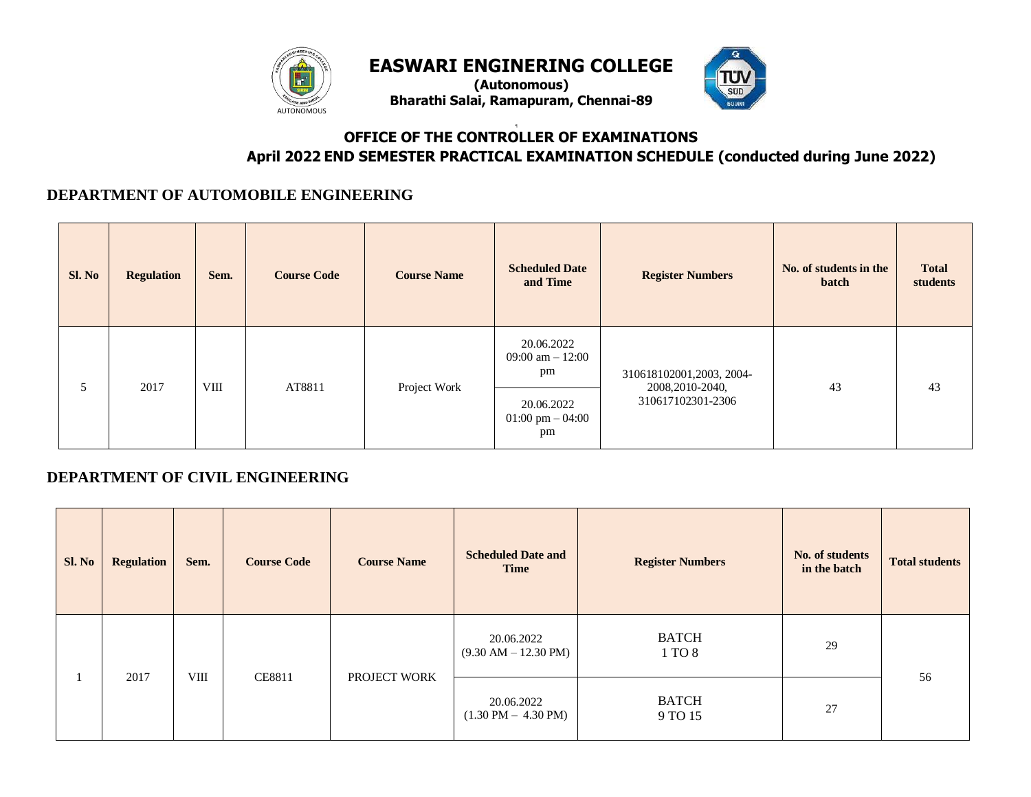

**(Autonomous) Bharathi Salai, Ramapuram, Chennai-89**



# ¶ **OFFICE OF THE CONTROLLER OF EXAMINATIONS April 2022 END SEMESTER PRACTICAL EXAMINATION SCHEDULE (conducted during June 2022)**

#### **DEPARTMENT OF AUTOMOBILE ENGINEERING**

| Sl. No | <b>Regulation</b> | Sem. | <b>Course Code</b> | <b>Course Name</b> | <b>Scheduled Date</b><br>and Time | <b>Register Numbers</b>                        | No. of students in the<br>batch       | <b>Total</b><br>students |    |
|--------|-------------------|------|--------------------|--------------------|-----------------------------------|------------------------------------------------|---------------------------------------|--------------------------|----|
| 5      |                   | 2017 |                    | AT8811             |                                   | 20.06.2022<br>09:00 am $-12:00$<br>pm          | 310618102001,2003, 2004-              |                          |    |
|        |                   |      | <b>VIII</b>        |                    | Project Work                      | 20.06.2022<br>$01:00 \text{ pm} - 04:00$<br>pm | 2008, 2010-2040,<br>310617102301-2306 | 43                       | 43 |

# **DEPARTMENT OF CIVIL ENGINEERING**

| Sl. No | <b>Regulation</b> | Sem.       | <b>Course Code</b> | <b>Course Name</b> | <b>Scheduled Date and</b><br><b>Time</b>             | <b>Register Numbers</b> | No. of students<br>in the batch | <b>Total students</b> |
|--------|-------------------|------------|--------------------|--------------------|------------------------------------------------------|-------------------------|---------------------------------|-----------------------|
|        | 2017              | $\rm VIII$ | <b>CE8811</b>      | PROJECT WORK       | 20.06.2022<br>$(9.30 \text{ AM} - 12.30 \text{ PM})$ | <b>BATCH</b><br>1 TO 8  | 29                              |                       |
|        |                   |            |                    |                    | 20.06.2022<br>$(1.30 \text{ PM} - 4.30 \text{ PM})$  | <b>BATCH</b><br>9 TO 15 | 27                              | 56                    |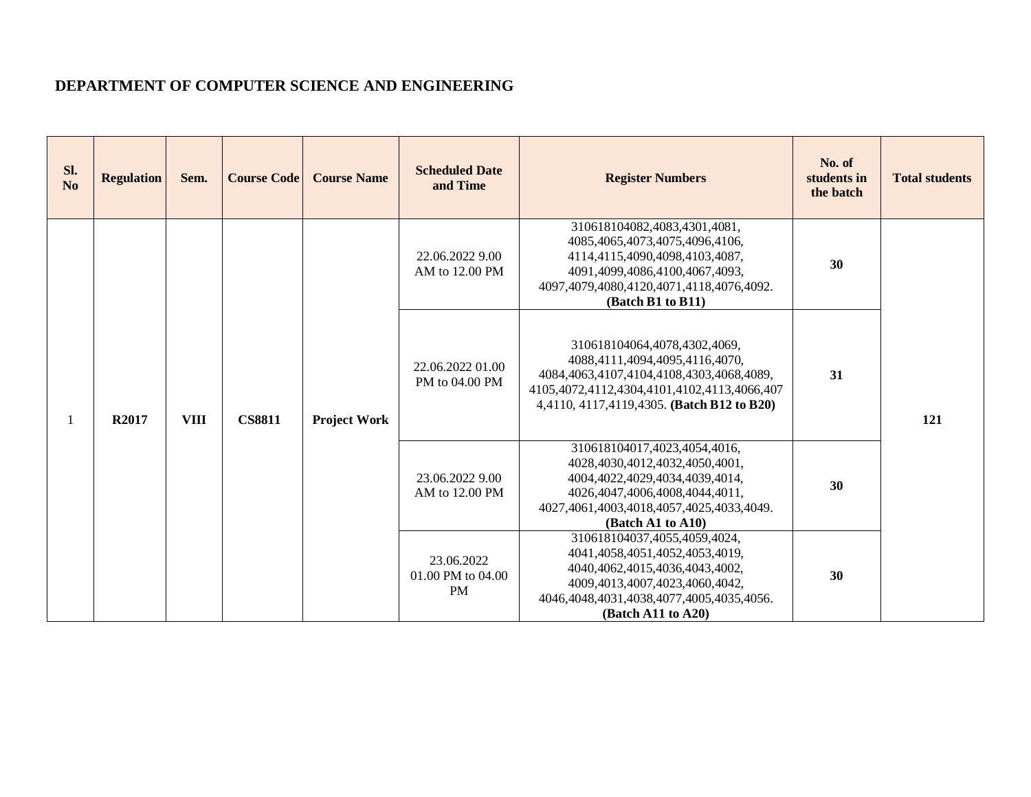## **DEPARTMENT OF COMPUTER SCIENCE AND ENGINEERING**

| Sl.<br>N <sub>o</sub> | <b>Regulation</b> | Sem.        | <b>Course Code</b> | <b>Course Name</b>  | <b>Scheduled Date</b><br>and Time            | <b>Register Numbers</b>                                                                                                                                                                                 | No. of<br>students in<br>the batch | <b>Total students</b> |
|-----------------------|-------------------|-------------|--------------------|---------------------|----------------------------------------------|---------------------------------------------------------------------------------------------------------------------------------------------------------------------------------------------------------|------------------------------------|-----------------------|
|                       |                   |             |                    |                     | 22.06.2022 9.00<br>AM to 12.00 PM            | 310618104082,4083,4301,4081,<br>4085,4065,4073,4075,4096,4106,<br>4114,4115,4090,4098,4103,4087,<br>4091,4099,4086,4100,4067,4093,<br>4097,4079,4080,4120,4071,4118,4076,4092.<br>(Batch B1 to B11)     | 30                                 |                       |
|                       | R2017             | <b>VIII</b> | <b>CS8811</b>      | <b>Project Work</b> | 22.06.2022 01.00<br>PM to 04.00 PM           | 310618104064,4078,4302,4069,<br>4088,4111,4094,4095,4116,4070,<br>4084,4063,4107,4104,4108,4303,4068,4089,<br>4105,4072,4112,4304,4101,4102,4113,4066,407<br>4,4110, 4117,4119,4305. (Batch B12 to B20) | 31                                 | 121                   |
|                       |                   |             |                    |                     | 23.06.2022 9.00<br>AM to 12.00 PM            | 310618104017,4023,4054,4016,<br>4028,4030,4012,4032,4050,4001,<br>4004,4022,4029,4034,4039,4014,<br>4026,4047,4006,4008,4044,4011,<br>4027,4061,4003,4018,4057,4025,4033,4049.<br>(Batch A1 to A10)     | 30                                 |                       |
|                       |                   |             |                    |                     | 23.06.2022<br>01.00 PM to 04.00<br><b>PM</b> | 310618104037,4055,4059,4024,<br>4041,4058,4051,4052,4053,4019,<br>4040,4062,4015,4036,4043,4002,<br>4009,4013,4007,4023,4060,4042,<br>4046,4048,4031,4038,4077,4005,4035,4056.<br>(Batch A11 to A20)    | 30                                 |                       |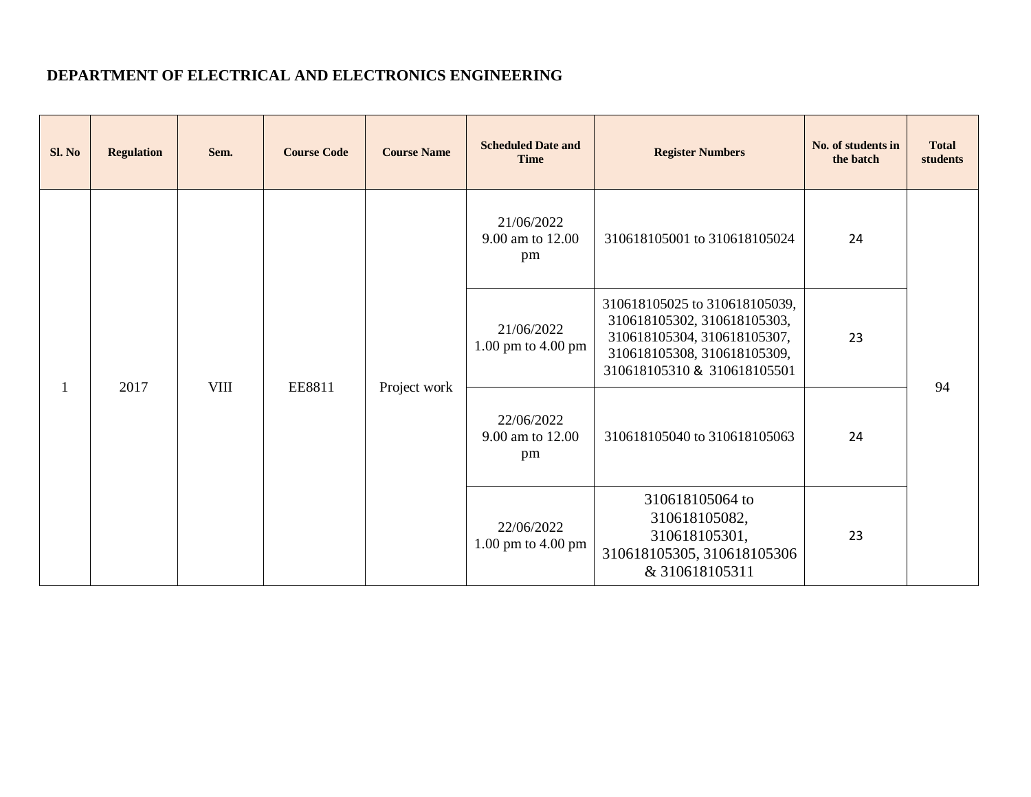# **DEPARTMENT OF ELECTRICAL AND ELECTRONICS ENGINEERING**

| Sl. No | <b>Regulation</b> | Sem. | <b>Course Code</b> | <b>Course Name</b> | <b>Scheduled Date and</b><br><b>Time</b> | <b>Register Numbers</b>                                                                                                                                   | No. of students in<br>the batch | <b>Total</b><br>students |                                      |                              |    |  |
|--------|-------------------|------|--------------------|--------------------|------------------------------------------|-----------------------------------------------------------------------------------------------------------------------------------------------------------|---------------------------------|--------------------------|--------------------------------------|------------------------------|----|--|
|        |                   |      |                    |                    |                                          | 21/06/2022<br>9.00 am to 12.00<br>pm                                                                                                                      | 310618105001 to 310618105024    | 24                       |                                      |                              |    |  |
|        | 2017              | VIII |                    |                    | 21/06/2022<br>1.00 pm to 4.00 pm         | 310618105025 to 310618105039,<br>310618105302, 310618105303,<br>310618105304, 310618105307,<br>310618105308, 310618105309,<br>310618105310 & 310618105501 | 23                              | 94                       |                                      |                              |    |  |
|        |                   |      | EE8811             |                    |                                          |                                                                                                                                                           |                                 | Project work             | 22/06/2022<br>9.00 am to 12.00<br>pm | 310618105040 to 310618105063 | 24 |  |
|        |                   |      |                    |                    | 22/06/2022<br>$1.00$ pm to $4.00$ pm     | 310618105064 to<br>310618105082,<br>310618105301,<br>310618105305, 310618105306<br>& 310618105311                                                         | 23                              |                          |                                      |                              |    |  |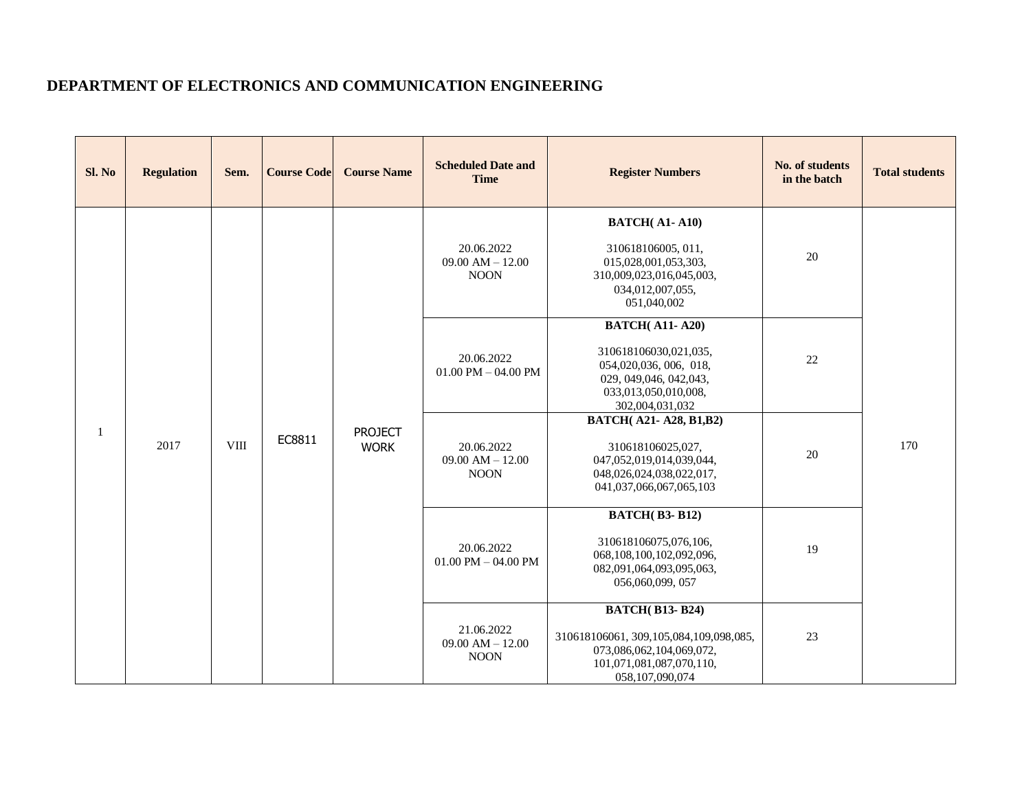#### **DEPARTMENT OF ELECTRONICS AND COMMUNICATION ENGINEERING**

| Sl. No       | <b>Regulation</b> | Sem.        | <b>Course Code</b> | <b>Course Name</b>            | <b>Scheduled Date and</b><br><b>Time</b>          | <b>Register Numbers</b>                                                                                                                         | No. of students<br>in the batch | <b>Total students</b> |
|--------------|-------------------|-------------|--------------------|-------------------------------|---------------------------------------------------|-------------------------------------------------------------------------------------------------------------------------------------------------|---------------------------------|-----------------------|
|              |                   |             |                    |                               | 20.06.2022<br>$09.00$ AM $- 12.00$<br><b>NOON</b> | <b>BATCH(A1-A10)</b><br>310618106005, 011,<br>015,028,001,053,303,<br>310,009,023,016,045,003,<br>034,012,007,055,<br>051,040,002               | 20                              |                       |
|              |                   |             |                    |                               | 20.06.2022<br>$01.00$ PM $- 04.00$ PM             | <b>BATCH(A11-A20)</b><br>310618106030,021,035,<br>054,020,036, 006, 018,<br>029, 049, 046, 042, 043,<br>033,013,050,010,008,<br>302,004,031,032 | 22                              |                       |
| $\mathbf{1}$ | 2017              | <b>VIII</b> | EC8811             | <b>PROJECT</b><br><b>WORK</b> | 20.06.2022<br>$09.00$ AM $- 12.00$<br><b>NOON</b> | <b>BATCH(A21-A28, B1, B2)</b><br>310618106025,027,<br>047,052,019,014,039,044,<br>048,026,024,038,022,017,<br>041,037,066,067,065,103           | 20                              | 170                   |
|              |                   |             |                    |                               | 20.06.2022<br>$01.00$ PM $- 04.00$ PM             | <b>BATCH(B3-B12)</b><br>310618106075,076,106,<br>068,108,100,102,092,096,<br>082,091,064,093,095,063,<br>056,060,099, 057                       | 19                              |                       |
|              |                   |             |                    |                               | 21.06.2022<br>09.00 AM $- 12.00$<br><b>NOON</b>   | <b>BATCH(B13-B24)</b><br>310618106061, 309, 105, 084, 109, 098, 085,<br>073,086,062,104,069,072,<br>101,071,081,087,070,110,<br>058,107,090,074 | 23                              |                       |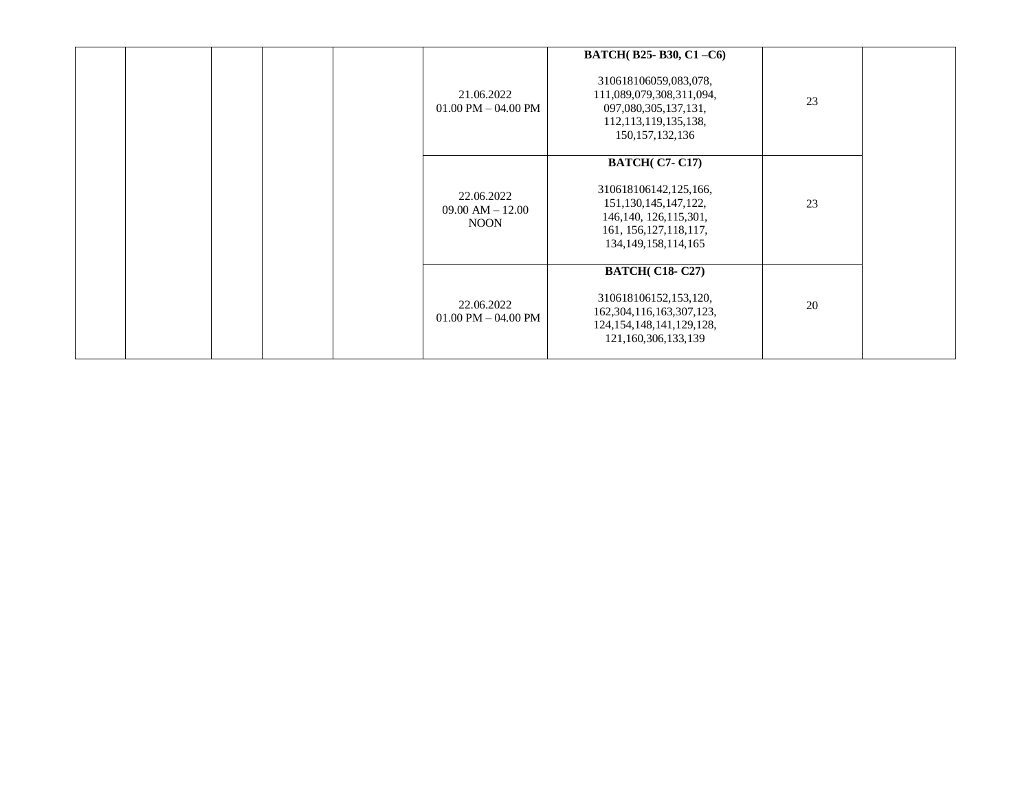|  |  | 21.06.2022<br>$01.00$ PM $-$ 04.00 PM             | BATCH(B25-B30, C1-C6)<br>310618106059,083,078,<br>111,089,079,308,311,094,<br>097,080,305,137,131,<br>112, 113, 119, 135, 138,<br>150, 157, 132, 136         | 23 |  |
|--|--|---------------------------------------------------|--------------------------------------------------------------------------------------------------------------------------------------------------------------|----|--|
|  |  | 22.06.2022<br>$09.00$ AM $- 12.00$<br><b>NOON</b> | <b>BATCH(C7-C17)</b><br>310618106142,125,166,<br>151, 130, 145, 147, 122,<br>146, 140, 126, 115, 301,<br>161, 156, 127, 118, 117,<br>134, 149, 158, 114, 165 | 23 |  |
|  |  | 22.06.2022<br>$01.00$ PM $- 04.00$ PM             | <b>BATCH(C18-C27)</b><br>310618106152,153,120,<br>162, 304, 116, 163, 307, 123,<br>124, 154, 148, 141, 129, 128,<br>121,160,306,133,139                      | 20 |  |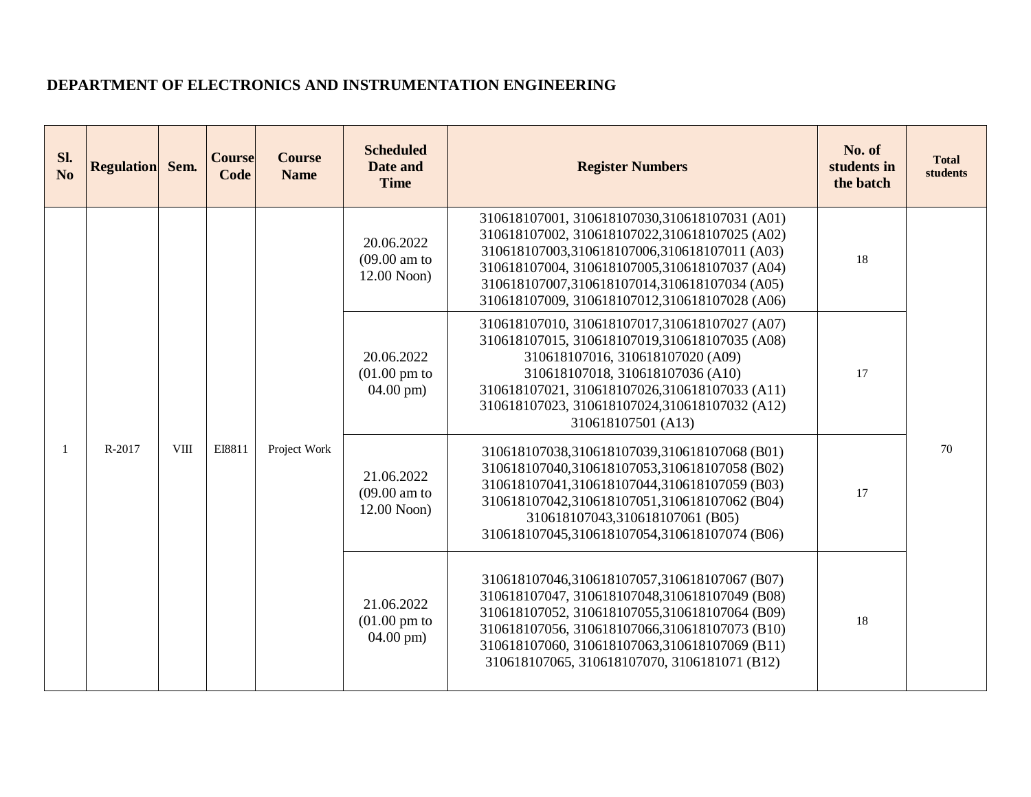#### **DEPARTMENT OF ELECTRONICS AND INSTRUMENTATION ENGINEERING**

| SI.<br>No | Regulation Sem. |  | <b>Course</b><br>Code | <b>Course</b><br><b>Name</b> | <b>Scheduled</b><br>Date and<br><b>Time</b>                   | <b>Register Numbers</b>                                                                                                                                                                                                                                                                             | No. of<br>students in<br>the batch                                                                                                                                                                                                                                              | <b>Total</b><br><b>students</b> |    |
|-----------|-----------------|--|-----------------------|------------------------------|---------------------------------------------------------------|-----------------------------------------------------------------------------------------------------------------------------------------------------------------------------------------------------------------------------------------------------------------------------------------------------|---------------------------------------------------------------------------------------------------------------------------------------------------------------------------------------------------------------------------------------------------------------------------------|---------------------------------|----|
|           |                 |  |                       |                              | 20.06.2022<br>$(09.00 \text{ am to})$<br>12.00 Noon)          | 310618107001, 310618107030, 310618107031 (A01)<br>310618107002, 310618107022,310618107025 (A02)<br>310618107003,310618107006,310618107011 (A03)<br>310618107004, 310618107005, 310618107037 (A04)<br>310618107007,310618107014,310618107034 (A05)<br>310618107009, 310618107012,310618107028 (A06)  | 18                                                                                                                                                                                                                                                                              |                                 |    |
|           |                 |  |                       |                              | 20.06.2022<br>$(01.00 \text{ pm to})$<br>$04.00 \text{ pm}$ ) | 310618107010, 310618107017, 310618107027 (A07)<br>310618107015, 310618107019,310618107035 (A08)<br>310618107016, 310618107020 (A09)<br>310618107018, 310618107036 (A10)<br>310618107021, 310618107026, 310618107033 (A11)<br>310618107023, 310618107024, 310618107032 (A12)<br>310618107501 (A13)   | 17                                                                                                                                                                                                                                                                              |                                 |    |
|           | R-2017          |  | <b>VIII</b>           | EI8811                       | Project Work                                                  | 21.06.2022<br>$(09.00 \text{ am to})$<br>12.00 Noon)                                                                                                                                                                                                                                                | 310618107038,310618107039,310618107068 (B01)<br>310618107040,310618107053,310618107058 (B02)<br>310618107041,310618107044,310618107059 (B03)<br>310618107042,310618107051,310618107062 (B04)<br>310618107043,310618107061 (B05)<br>310618107045,310618107054,310618107074 (B06) | 17                              | 70 |
|           |                 |  |                       |                              | 21.06.2022<br>$(01.00 \text{ pm to})$<br>$04.00$ pm)          | 310618107046,310618107057,310618107067 (B07)<br>310618107047, 310618107048, 310618107049 (B08)<br>310618107052, 310618107055,310618107064 (B09)<br>310618107056, 310618107066, 310618107073 (B10)<br>310618107060, 310618107063, 310618107069 (B11)<br>310618107065, 310618107070, 3106181071 (B12) | 18                                                                                                                                                                                                                                                                              |                                 |    |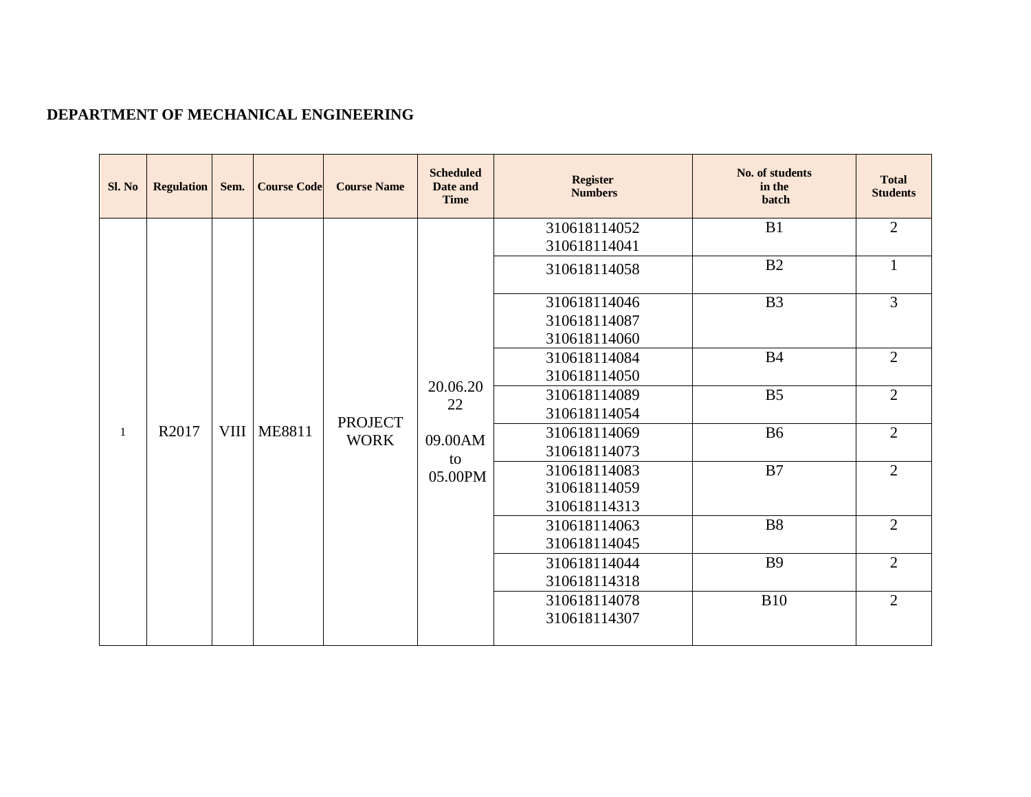# **DEPARTMENT OF MECHANICAL ENGINEERING**

| Sl. No | <b>Regulation</b> | Sem. | <b>Course Code</b> | <b>Course Name</b>            | <b>Scheduled</b><br>Date and<br><b>Time</b> | <b>Register</b><br><b>Numbers</b>            | No. of students<br>in the<br>batch | <b>Total</b><br><b>Students</b> |
|--------|-------------------|------|--------------------|-------------------------------|---------------------------------------------|----------------------------------------------|------------------------------------|---------------------------------|
|        |                   |      |                    |                               |                                             | 310618114052<br>310618114041                 | B1                                 | $\overline{2}$                  |
|        |                   |      |                    |                               |                                             | 310618114058                                 | B2                                 | $\mathbf{1}$                    |
|        |                   |      |                    |                               |                                             | 310618114046<br>310618114087<br>310618114060 | B <sub>3</sub>                     | $\overline{3}$                  |
|        |                   |      |                    |                               |                                             | 310618114084<br>310618114050                 | <b>B4</b>                          | $\overline{2}$                  |
|        |                   |      |                    |                               | 20.06.20<br>22                              | 310618114089<br>310618114054                 | B <sub>5</sub>                     | $\overline{2}$                  |
| -1     | R2017             |      | <b>VIII ME8811</b> | <b>PROJECT</b><br><b>WORK</b> | 09.00AM                                     | 310618114069<br>310618114073                 | <b>B6</b>                          | $\overline{2}$                  |
|        |                   |      |                    |                               | to<br>05.00PM                               | 310618114083<br>310618114059<br>310618114313 | B7                                 | $\overline{2}$                  |
|        |                   |      |                    |                               |                                             | 310618114063<br>310618114045                 | <b>B8</b>                          | $\overline{2}$                  |
|        |                   |      |                    |                               |                                             | 310618114044<br>310618114318                 | <b>B9</b>                          | $\overline{2}$                  |
|        |                   |      |                    |                               |                                             | 310618114078<br>310618114307                 | <b>B10</b>                         | $\overline{2}$                  |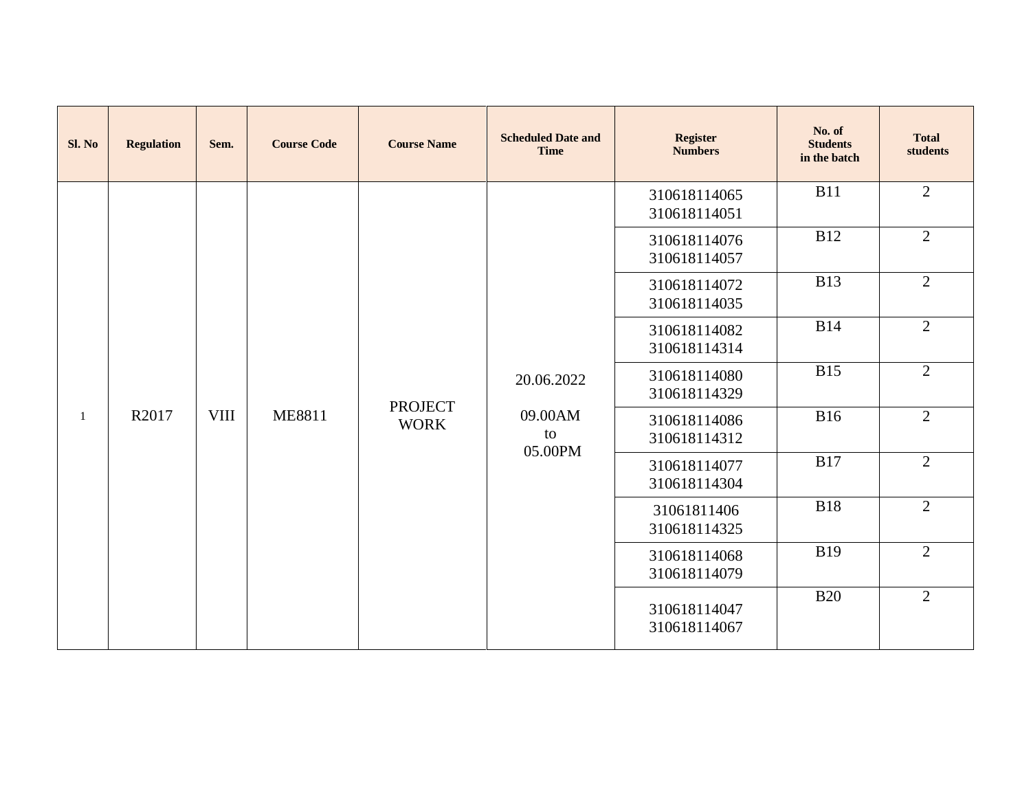| Sl. No       | <b>Regulation</b> | Sem.        | <b>Course Code</b> | <b>Course Name</b> | <b>Scheduled Date and</b><br><b>Time</b> | <b>Register</b><br><b>Numbers</b> | No. of<br><b>Students</b><br>in the batch | <b>Total</b><br>students |
|--------------|-------------------|-------------|--------------------|--------------------|------------------------------------------|-----------------------------------|-------------------------------------------|--------------------------|
|              |                   |             |                    |                    |                                          | 310618114065<br>310618114051      | <b>B11</b>                                | $\overline{2}$           |
|              |                   |             |                    |                    |                                          | 310618114076<br>310618114057      | <b>B12</b>                                | $\overline{2}$           |
|              |                   |             |                    |                    |                                          | 310618114072<br>310618114035      | <b>B13</b>                                | 2                        |
|              |                   |             |                    |                    |                                          | 310618114082<br>310618114314      | <b>B14</b>                                | 2                        |
|              |                   |             |                    | <b>PROJECT</b>     | 20.06.2022                               | 310618114080<br>310618114329      | <b>B15</b>                                | $\overline{2}$           |
| $\mathbf{1}$ | R2017             | <b>VIII</b> | <b>ME8811</b>      | <b>WORK</b>        | 09.00AM<br>to<br>05.00PM                 | 310618114086<br>310618114312      | <b>B16</b>                                | $\overline{2}$           |
|              |                   |             |                    |                    |                                          | 310618114077<br>310618114304      | <b>B17</b>                                | $\overline{2}$           |
|              |                   |             |                    |                    |                                          | 31061811406<br>310618114325       | <b>B18</b>                                | $\overline{2}$           |
|              |                   |             |                    |                    |                                          | 310618114068<br>310618114079      | <b>B19</b>                                | $\overline{2}$           |
|              |                   |             |                    |                    |                                          | 310618114047<br>310618114067      | <b>B20</b>                                | $\overline{2}$           |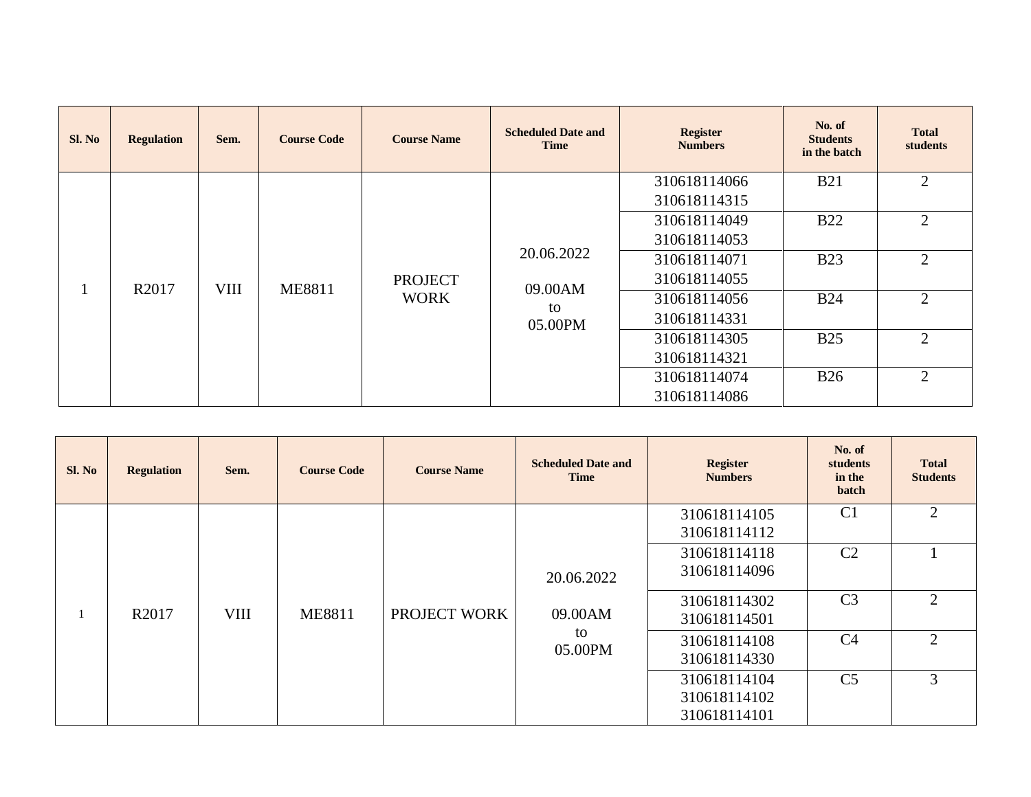| Sl. No | <b>Regulation</b> | Sem.        | <b>Course Code</b> | <b>Course Name</b> | <b>Scheduled Date and</b><br><b>Time</b> | <b>Register</b><br><b>Numbers</b> | No. of<br><b>Students</b><br>in the batch | <b>Total</b><br>students         |
|--------|-------------------|-------------|--------------------|--------------------|------------------------------------------|-----------------------------------|-------------------------------------------|----------------------------------|
|        |                   |             |                    |                    |                                          | 310618114066                      | <b>B21</b>                                | 2                                |
|        |                   |             |                    |                    |                                          | 310618114315                      |                                           |                                  |
|        |                   |             |                    |                    |                                          | 310618114049                      | <b>B22</b>                                | 2                                |
|        |                   |             |                    |                    |                                          | 310618114053                      |                                           |                                  |
|        |                   |             |                    |                    | 20.06.2022                               | 310618114071                      | <b>B23</b>                                | 2                                |
|        | R2017             | <b>VIII</b> | <b>ME8811</b>      | <b>PROJECT</b>     | 09.00AM                                  | 310618114055                      |                                           |                                  |
|        |                   |             |                    | <b>WORK</b>        | to                                       | 310618114056                      | <b>B24</b>                                | 2                                |
|        |                   |             |                    |                    | 05.00PM                                  | 310618114331                      |                                           | $\overline{2}$<br>$\overline{2}$ |
|        |                   |             |                    |                    |                                          | 310618114305                      | <b>B25</b>                                |                                  |
|        |                   |             |                    |                    |                                          | 310618114321                      |                                           |                                  |
|        |                   |             |                    |                    |                                          | 310618114074                      | <b>B26</b>                                |                                  |
|        |                   |             |                    |                    |                                          | 310618114086                      |                                           |                                  |

| Sl. No | <b>Regulation</b> | Sem.        | <b>Course Code</b> | <b>Course Name</b> | <b>Scheduled Date and</b><br><b>Time</b> | <b>Register</b><br><b>Numbers</b> | No. of<br>students<br>in the<br>batch | <b>Total</b><br><b>Students</b> |
|--------|-------------------|-------------|--------------------|--------------------|------------------------------------------|-----------------------------------|---------------------------------------|---------------------------------|
|        |                   |             |                    |                    |                                          | 310618114105<br>310618114112      | C <sub>1</sub>                        | 2                               |
|        |                   |             |                    |                    | 20.06.2022                               | 310618114118<br>310618114096      | C <sub>2</sub>                        |                                 |
|        | R2017             | <b>VIII</b> | <b>ME8811</b>      | PROJECT WORK       | 09.00AM                                  | 310618114302<br>310618114501      | C <sub>3</sub>                        | $\overline{2}$                  |
|        |                   |             |                    |                    | to<br>05.00PM                            | 310618114108<br>310618114330      | C4                                    | $\gamma$                        |
|        |                   |             |                    |                    |                                          | 310618114104                      | C <sub>5</sub>                        | 3                               |
|        |                   |             |                    |                    |                                          | 310618114102<br>310618114101      |                                       |                                 |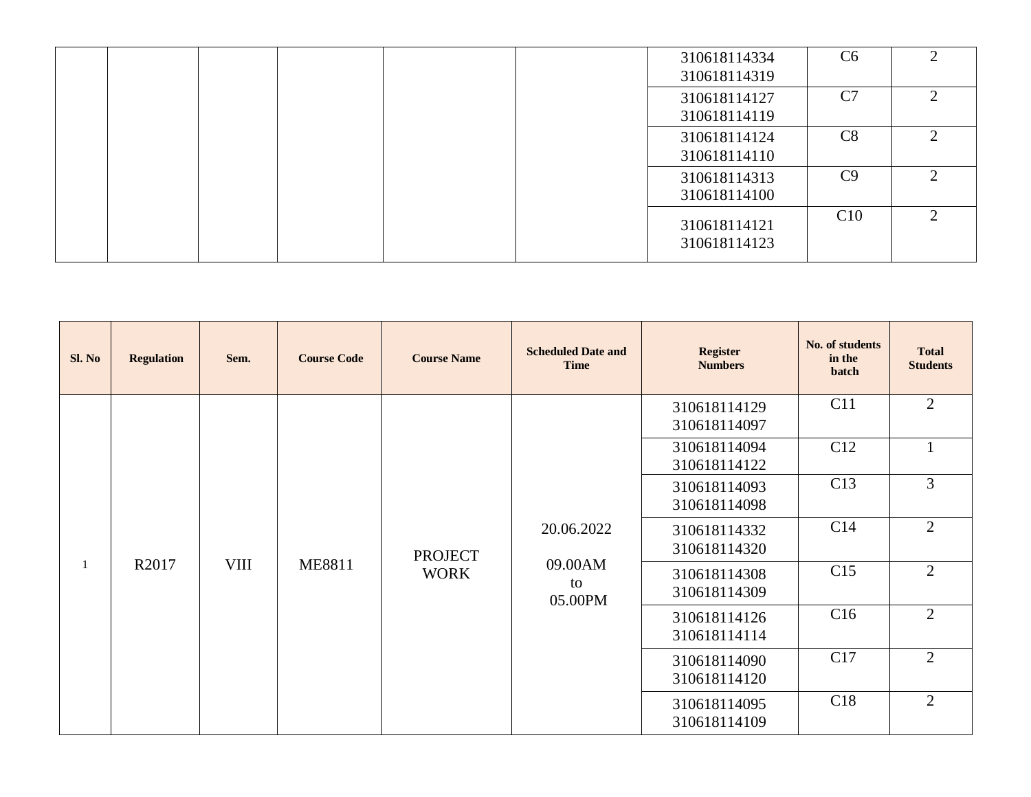|  |  |  | 310618114334<br>310618114319 | C6  |               |
|--|--|--|------------------------------|-----|---------------|
|  |  |  | 310618114127<br>310618114119 | C7  |               |
|  |  |  | 310618114124<br>310618114110 | C8  |               |
|  |  |  | 310618114313<br>310618114100 | C9  | ◠             |
|  |  |  | 310618114121<br>310618114123 | C10 | $\mathcal{D}$ |

| Sl. No | <b>Regulation</b> | Sem.        | <b>Course Code</b> | <b>Course Name</b> | <b>Scheduled Date and</b><br><b>Time</b> | <b>Register</b><br><b>Numbers</b> | No. of students<br>in the<br>batch | <b>Total</b><br><b>Students</b> |
|--------|-------------------|-------------|--------------------|--------------------|------------------------------------------|-----------------------------------|------------------------------------|---------------------------------|
|        |                   |             |                    |                    |                                          | 310618114129<br>310618114097      | C11                                | $\overline{2}$                  |
|        |                   |             |                    |                    |                                          | 310618114094<br>310618114122      | C12                                |                                 |
|        |                   |             |                    |                    |                                          | 310618114093<br>310618114098      | C13                                | 3                               |
|        |                   |             |                    | <b>PROJECT</b>     | 20.06.2022                               | 310618114332<br>310618114320      | C <sub>14</sub>                    | $\overline{2}$                  |
| 1      | R2017             | <b>VIII</b> | <b>ME8811</b>      | <b>WORK</b>        | 09.00AM<br>to<br>05.00PM                 | 310618114308<br>310618114309      | C15                                | $\overline{2}$                  |
|        |                   |             |                    |                    |                                          | 310618114126<br>310618114114      | C16                                | $\overline{2}$                  |
|        |                   |             |                    |                    |                                          | 310618114090<br>310618114120      | C17                                | $\overline{2}$                  |
|        |                   |             |                    |                    |                                          | 310618114095<br>310618114109      | C18                                | $\overline{2}$                  |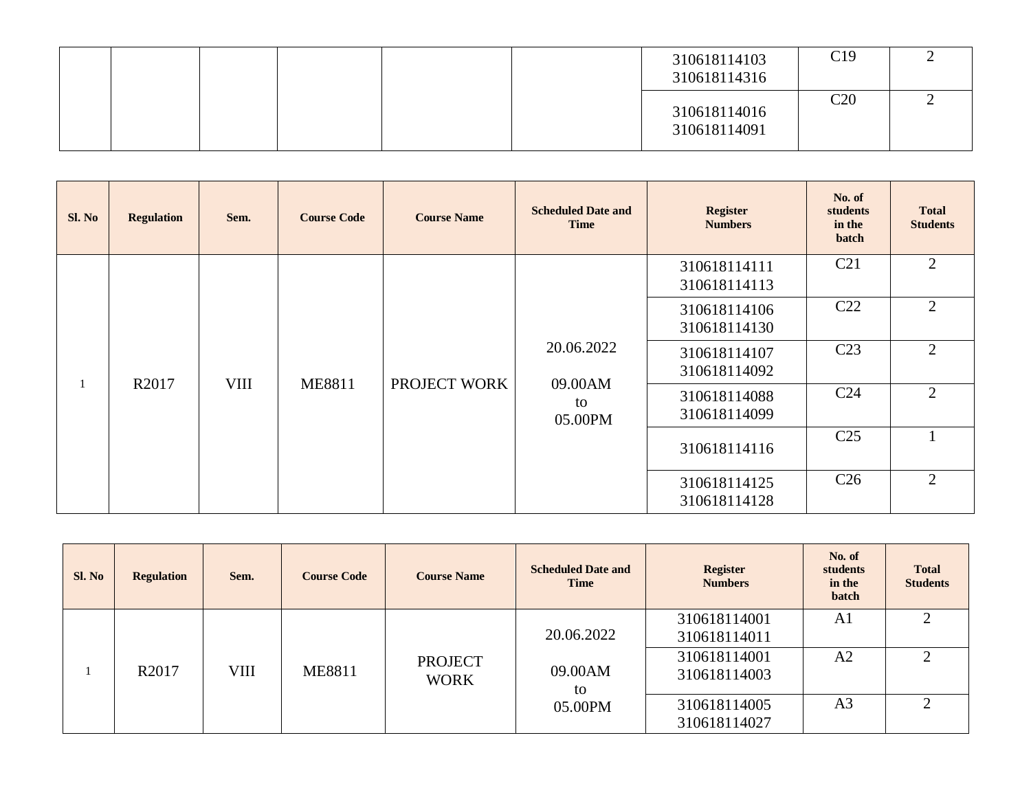|  |  |  | 310618114103<br>310618114316 | C19 |  |
|--|--|--|------------------------------|-----|--|
|  |  |  | 310618114016<br>310618114091 | C20 |  |

| Sl. No       | <b>Regulation</b> | Sem.        | <b>Course Code</b> | <b>Course Name</b> | <b>Scheduled Date and</b><br><b>Time</b> | <b>Register</b><br><b>Numbers</b> | No. of<br>students<br>in the<br>batch | <b>Total</b><br><b>Students</b> |              |                 |  |
|--------------|-------------------|-------------|--------------------|--------------------|------------------------------------------|-----------------------------------|---------------------------------------|---------------------------------|--------------|-----------------|--|
|              |                   |             |                    |                    |                                          | 310618114111<br>310618114113      | C <sub>21</sub>                       | $\overline{2}$                  |              |                 |  |
|              |                   |             |                    |                    |                                          | 310618114106<br>310618114130      | C <sub>22</sub>                       | 2                               |              |                 |  |
|              |                   |             |                    |                    | 20.06.2022                               | 310618114107<br>310618114092      | C <sub>23</sub>                       | $\overline{2}$                  |              |                 |  |
| $\mathbf{1}$ | R <sub>2017</sub> | <b>VIII</b> | <b>ME8811</b>      | PROJECT WORK       | 09.00AM<br>to<br>05.00PM                 | 310618114088<br>310618114099      | C <sub>24</sub>                       | $\overline{2}$                  |              |                 |  |
|              |                   |             |                    |                    |                                          |                                   |                                       |                                 | 310618114116 | C <sub>25</sub> |  |
|              |                   |             |                    |                    |                                          | 310618114125<br>310618114128      | C <sub>26</sub>                       | 2                               |              |                 |  |

| Sl. No | <b>Regulation</b> | Sem. | <b>Course Code</b> | <b>Course Name</b>            | <b>Scheduled Date and</b><br><b>Time</b> | <b>Register</b><br><b>Numbers</b> | No. of<br>students<br>in the<br>batch | <b>Total</b><br><b>Students</b> |
|--------|-------------------|------|--------------------|-------------------------------|------------------------------------------|-----------------------------------|---------------------------------------|---------------------------------|
|        |                   |      |                    |                               | 20.06.2022                               | 310618114001<br>310618114011      | A <sub>1</sub>                        |                                 |
|        | R <sub>2017</sub> | VIII | <b>ME8811</b>      | <b>PROJECT</b><br><b>WORK</b> | 09.00AM<br>to                            | 310618114001<br>310618114003      | A <sub>2</sub>                        | ◠                               |
|        |                   |      |                    |                               | 05.00PM                                  | 310618114005<br>310618114027      | A <sub>3</sub>                        |                                 |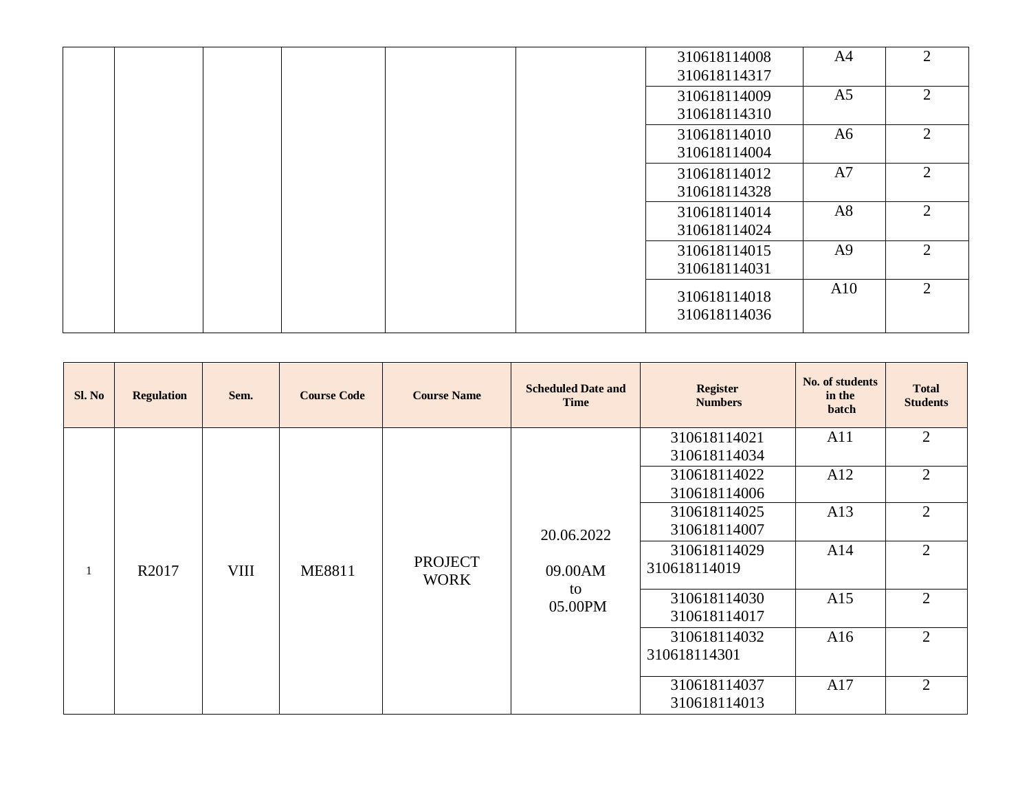|  |  |  | 310618114008 | A4             | $\overline{2}$              |
|--|--|--|--------------|----------------|-----------------------------|
|  |  |  | 310618114317 |                |                             |
|  |  |  | 310618114009 | A <sub>5</sub> | 2                           |
|  |  |  | 310618114310 |                |                             |
|  |  |  | 310618114010 | A6             | $\mathcal{D}_{\mathcal{L}}$ |
|  |  |  | 310618114004 |                |                             |
|  |  |  | 310618114012 | A7             | $\mathcal{D}_{\mathcal{L}}$ |
|  |  |  | 310618114328 |                |                             |
|  |  |  | 310618114014 | A8             | $\mathcal{D}_{\mathcal{L}}$ |
|  |  |  | 310618114024 |                |                             |
|  |  |  | 310618114015 | A <sub>9</sub> | $\mathcal{D}$               |
|  |  |  | 310618114031 |                |                             |
|  |  |  | 310618114018 | A10            | 2                           |
|  |  |  | 310618114036 |                |                             |
|  |  |  |              |                |                             |

| Sl. No | <b>Regulation</b> | Sem.        | <b>Course Code</b> | <b>Course Name</b>            | <b>Scheduled Date and</b><br><b>Time</b> | <b>Register</b><br><b>Numbers</b> | No. of students<br>in the<br>batch | <b>Total</b><br><b>Students</b> |
|--------|-------------------|-------------|--------------------|-------------------------------|------------------------------------------|-----------------------------------|------------------------------------|---------------------------------|
|        |                   |             |                    |                               |                                          | 310618114021                      | A11                                | $\overline{2}$                  |
|        |                   |             |                    |                               |                                          | 310618114034                      |                                    |                                 |
|        |                   |             |                    |                               |                                          | 310618114022                      | A12                                | $\overline{2}$                  |
|        |                   |             |                    |                               |                                          | 310618114006                      |                                    |                                 |
|        |                   |             |                    |                               |                                          | 310618114025                      | A13                                | $\overline{2}$                  |
|        |                   |             |                    |                               | 20.06.2022                               | 310618114007                      |                                    |                                 |
|        |                   |             |                    |                               |                                          | 310618114029                      | A14                                | $\overline{2}$                  |
|        | R2017             | <b>VIII</b> | <b>ME8811</b>      | <b>PROJECT</b><br><b>WORK</b> | 09.00AM                                  | 310618114019                      |                                    |                                 |
|        |                   |             |                    |                               | to<br>05.00PM                            | 310618114030                      | A15                                | $\overline{2}$                  |
|        |                   |             |                    |                               |                                          | 310618114017                      |                                    |                                 |
|        |                   |             |                    |                               |                                          | 310618114032                      | A16                                | $\overline{2}$                  |
|        |                   |             |                    |                               |                                          | 310618114301                      |                                    |                                 |
|        |                   |             |                    |                               |                                          | 310618114037                      | A17                                | $\overline{2}$                  |
|        |                   |             |                    |                               |                                          | 310618114013                      |                                    |                                 |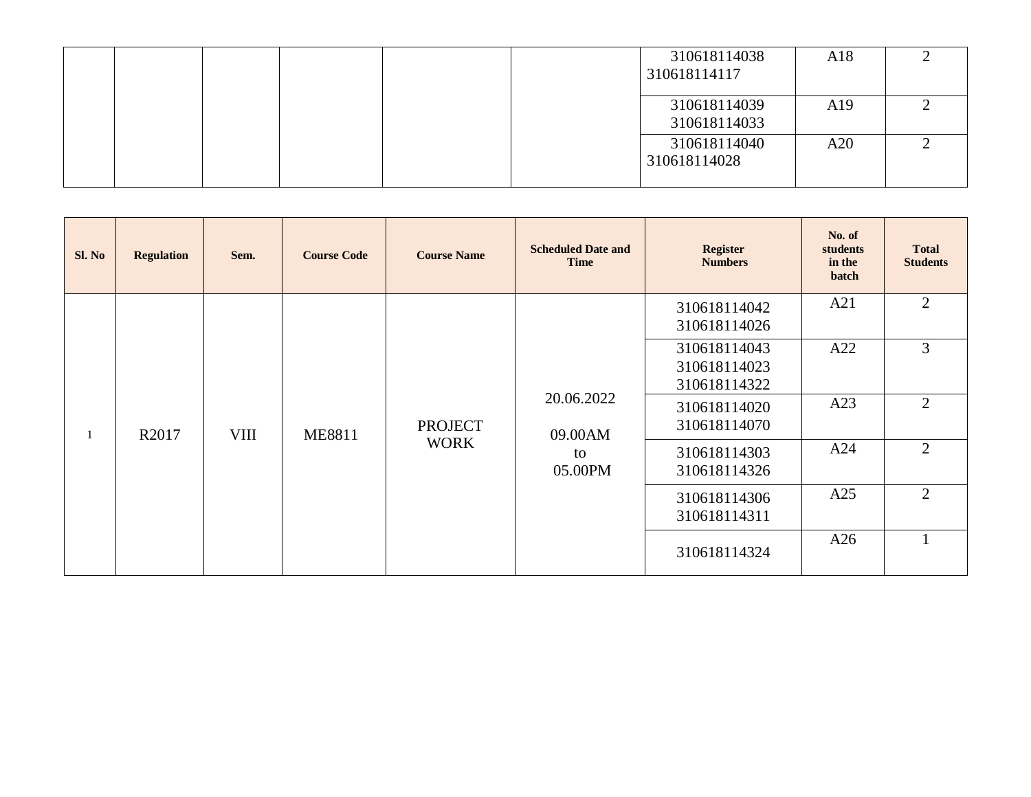|  |  |  | 310618114038<br>310618114117 | A18 |  |
|--|--|--|------------------------------|-----|--|
|  |  |  | 310618114039<br>310618114033 | A19 |  |
|  |  |  | 310618114040<br>310618114028 | A20 |  |

| Sl. No | <b>Regulation</b> | Sem.        | <b>Course Code</b> | <b>Course Name</b> | <b>Scheduled Date and</b><br><b>Time</b> | <b>Register</b><br><b>Numbers</b>            | No. of<br>students<br>in the<br>batch | <b>Total</b><br><b>Students</b> |
|--------|-------------------|-------------|--------------------|--------------------|------------------------------------------|----------------------------------------------|---------------------------------------|---------------------------------|
|        |                   |             |                    |                    |                                          | 310618114042<br>310618114026                 | A21                                   | $\overline{2}$                  |
|        |                   |             |                    |                    |                                          | 310618114043<br>310618114023<br>310618114322 | A22                                   | 3                               |
|        | R <sub>2017</sub> | <b>VIII</b> | <b>ME8811</b>      | <b>PROJECT</b>     | 20.06.2022<br>09.00AM                    | 310618114020<br>310618114070                 | A23                                   | 2                               |
|        |                   |             |                    | <b>WORK</b>        | to<br>05.00PM                            | 310618114303<br>310618114326                 | A24                                   | 2                               |
|        |                   |             |                    |                    |                                          | 310618114306<br>310618114311                 | A25                                   | $\overline{2}$                  |
|        |                   |             |                    |                    |                                          | 310618114324                                 | A26                                   |                                 |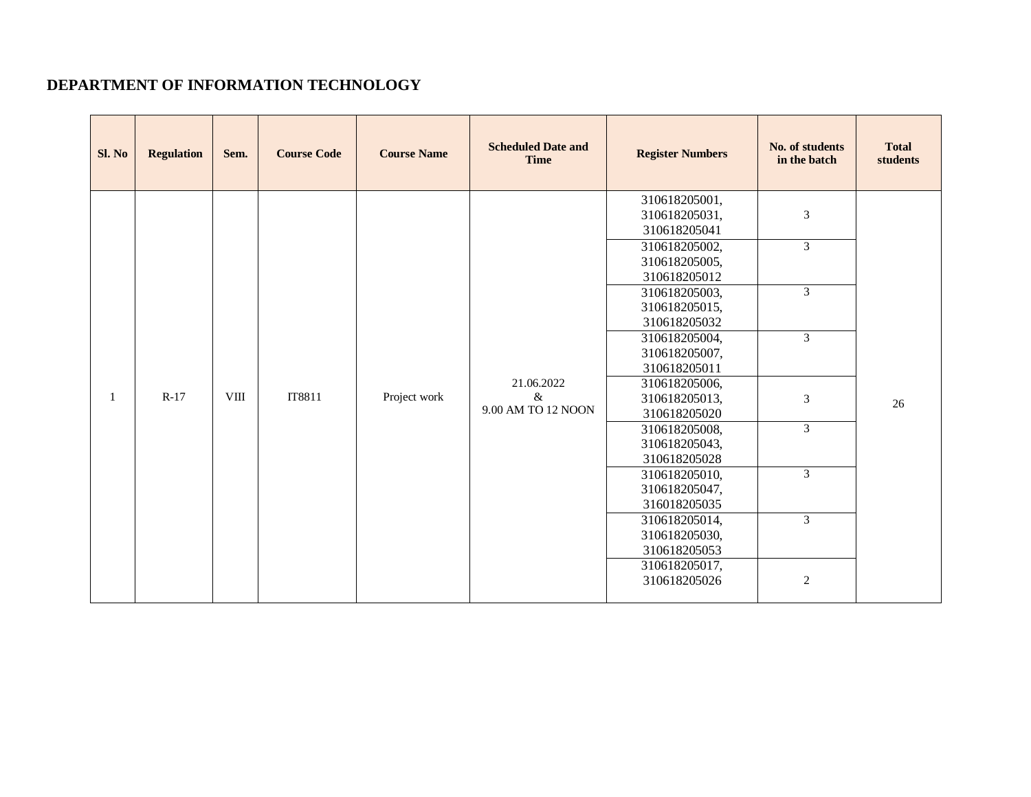# **DEPARTMENT OF INFORMATION TECHNOLOGY**

| Sl. No | <b>Regulation</b> | Sem.        | <b>Course Code</b> | <b>Course Name</b> | <b>Scheduled Date and</b><br><b>Time</b> | <b>Register Numbers</b>                                                                                                                                                                                                                                                                                                                                                                                                       | No. of students<br>in the batch                                                                                    | <b>Total</b><br>students |
|--------|-------------------|-------------|--------------------|--------------------|------------------------------------------|-------------------------------------------------------------------------------------------------------------------------------------------------------------------------------------------------------------------------------------------------------------------------------------------------------------------------------------------------------------------------------------------------------------------------------|--------------------------------------------------------------------------------------------------------------------|--------------------------|
| 1      | $R-17$            | <b>VIII</b> | IT8811             | Project work       | 21.06.2022<br>$\&$<br>9.00 AM TO 12 NOON | 310618205001,<br>310618205031,<br>310618205041<br>310618205002,<br>310618205005,<br>310618205012<br>310618205003,<br>310618205015,<br>310618205032<br>310618205004,<br>310618205007,<br>310618205011<br>310618205006,<br>310618205013,<br>310618205020<br>310618205008,<br>310618205043,<br>310618205028<br>310618205010,<br>310618205047,<br>316018205035<br>310618205014,<br>310618205030,<br>310618205053<br>310618205017, | 3<br>$\mathfrak{Z}$<br>$\mathfrak{Z}$<br>$\overline{3}$<br>3<br>$\overline{3}$<br>$\mathfrak{Z}$<br>$\overline{3}$ | 26                       |
|        |                   |             |                    |                    |                                          | 310618205026                                                                                                                                                                                                                                                                                                                                                                                                                  | $\mathbf{2}$                                                                                                       |                          |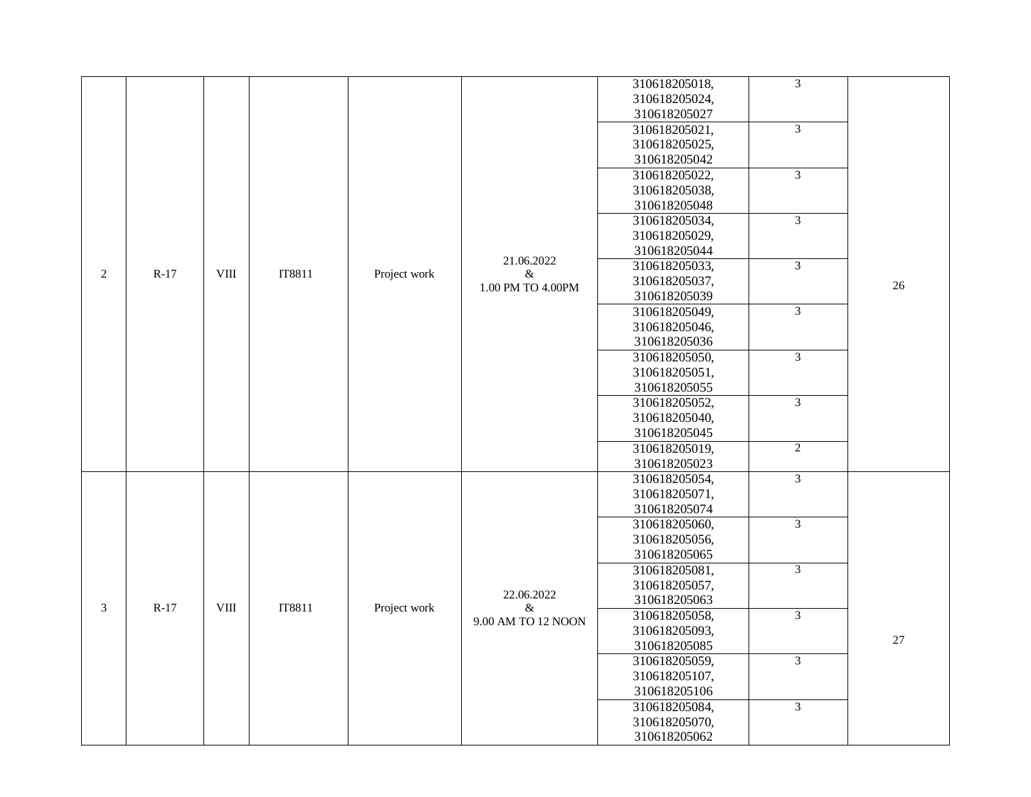|   |        |              |        |              |                    | 310618205018, | $\overline{3}$ |        |
|---|--------|--------------|--------|--------------|--------------------|---------------|----------------|--------|
|   |        |              |        |              |                    | 310618205024, |                |        |
|   |        |              |        |              |                    | 310618205027  |                |        |
|   |        |              |        |              |                    | 310618205021, | $\overline{3}$ |        |
|   |        |              |        |              |                    | 310618205025, |                |        |
|   |        |              |        |              |                    | 310618205042  |                |        |
|   |        |              |        |              |                    |               | 3              |        |
|   |        |              |        |              |                    | 310618205022, |                |        |
|   |        |              |        |              |                    | 310618205038, |                |        |
|   |        |              |        |              |                    | 310618205048  | $\overline{3}$ |        |
|   |        |              |        |              |                    | 310618205034, |                |        |
|   |        |              |        |              |                    | 310618205029, |                |        |
|   |        |              |        |              | 21.06.2022         | 310618205044  | $\overline{3}$ |        |
| 2 | $R-17$ | VIII         | IT8811 | Project work | $\&$               | 310618205033, |                |        |
|   |        |              |        |              | 1.00 PM TO 4.00PM  | 310618205037, |                | 26     |
|   |        |              |        |              |                    | 310618205039  |                |        |
|   |        |              |        |              |                    | 310618205049, | $\overline{3}$ |        |
|   |        |              |        |              |                    | 310618205046, |                |        |
|   |        |              |        |              |                    | 310618205036  | $\overline{3}$ |        |
|   |        |              |        |              |                    | 310618205050, |                |        |
|   |        |              |        |              |                    | 310618205051, |                |        |
|   |        |              |        |              |                    | 310618205055  |                |        |
|   |        |              |        |              |                    | 310618205052, | 3              |        |
|   |        |              |        |              |                    | 310618205040, |                |        |
|   |        |              |        |              |                    | 310618205045  |                |        |
|   |        |              |        |              |                    | 310618205019, | 2              |        |
|   |        |              |        |              |                    | 310618205023  |                |        |
|   |        |              |        |              |                    | 310618205054, | 3              |        |
|   |        |              |        |              |                    | 310618205071, |                |        |
|   |        |              |        |              |                    | 310618205074  |                |        |
|   |        |              |        |              |                    | 310618205060, | $\overline{3}$ |        |
|   |        |              |        |              |                    | 310618205056, |                |        |
|   |        |              |        |              |                    | 310618205065  | $\overline{3}$ |        |
|   |        |              |        |              |                    | 310618205081, |                |        |
|   |        |              |        |              | 22.06.2022         | 310618205057, |                |        |
| 3 | $R-17$ | ${\rm VIII}$ | IT8811 | Project work | &                  | 310618205063  |                |        |
|   |        |              |        |              | 9.00 AM TO 12 NOON | 310618205058, | $\overline{3}$ |        |
|   |        |              |        |              |                    | 310618205093, |                | $27\,$ |
|   |        |              |        |              |                    | 310618205085  |                |        |
|   |        |              |        |              |                    | 310618205059, | $\overline{3}$ |        |
|   |        |              |        |              |                    | 310618205107, |                |        |
|   |        |              |        |              |                    | 310618205106  |                |        |
|   |        |              |        |              |                    | 310618205084, | $\overline{3}$ |        |
|   |        |              |        |              |                    | 310618205070, |                |        |
|   |        |              |        |              |                    | 310618205062  |                |        |